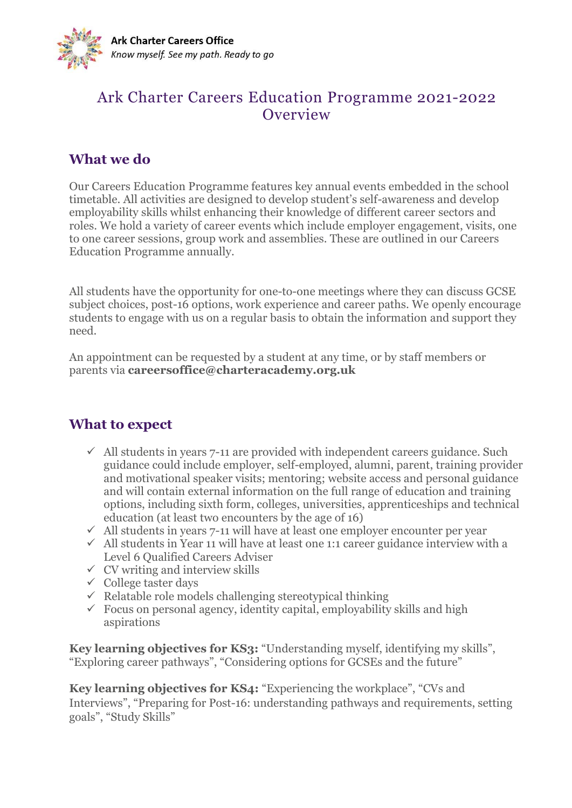

#### Ark Charter Careers Education Programme 2021-2022 **Overview**

#### **What we do**

Our Careers Education Programme features key annual events embedded in the school timetable. All activities are designed to develop student's self-awareness and develop employability skills whilst enhancing their knowledge of different career sectors and roles. We hold a variety of career events which include employer engagement, visits, one to one career sessions, group work and assemblies. These are outlined in our Careers Education Programme annually.

All students have the opportunity for one-to-one meetings where they can discuss GCSE subject choices, post-16 options, work experience and career paths. We openly encourage students to engage with us on a regular basis to obtain the information and support they need.

An appointment can be requested by a student at any time, or by staff members or parents via **[careersoffice@charteracademy.org.uk](mailto:careersoffice@charteracademy.org.uk)**

#### **What to expect**

- $\checkmark$  All students in years 7-11 are provided with independent careers guidance. Such guidance could include employer, self-employed, alumni, parent, training provider and motivational speaker visits; mentoring; website access and personal guidance and will contain external information on the full range of education and training options, including sixth form, colleges, universities, apprenticeships and technical education (at least two encounters by the age of 16)
- $\checkmark$  All students in years 7-11 will have at least one employer encounter per year
- $\checkmark$  All students in Year 11 will have at least one 1:1 career guidance interview with a Level 6 Qualified Careers Adviser
- $\checkmark$  CV writing and interview skills
- $\checkmark$  College taster days
- $\checkmark$  Relatable role models challenging stereotypical thinking
- $\checkmark$  Focus on personal agency, identity capital, employability skills and high aspirations

**Key learning objectives for KS3:** "Understanding myself, identifying my skills", "Exploring career pathways", "Considering options for GCSEs and the future"

**Key learning objectives for KS4:** "Experiencing the workplace", "CVs and Interviews", "Preparing for Post-16: understanding pathways and requirements, setting goals", "Study Skills"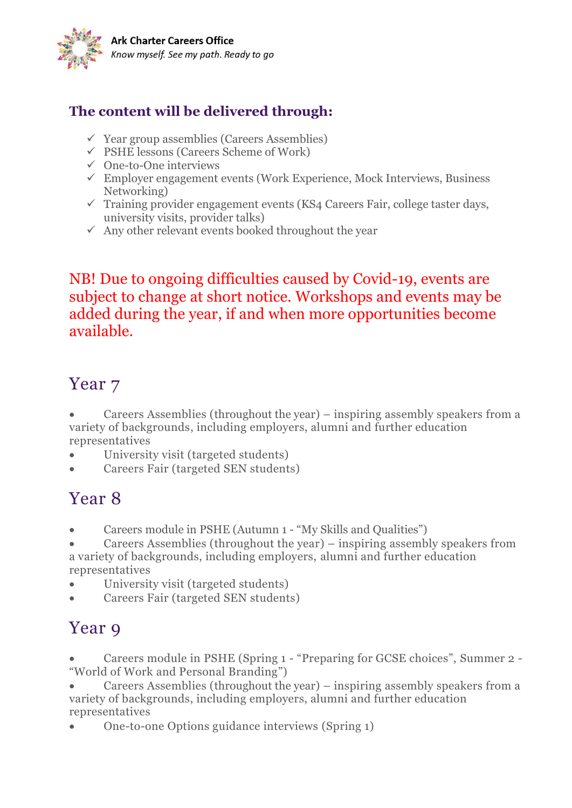

#### **The content will be delivered through:**

- $\checkmark$  Year group assemblies (Careers Assemblies)
- $\checkmark$  PSHE lessons (Careers Scheme of Work)
- ✓ One-to-One interviews
- $\checkmark$  Employer engagement events (Work Experience, Mock Interviews, Business Networking)
- $\checkmark$  Training provider engagement events (KS4 Careers Fair, college taster days, university visits, provider talks)
- $\checkmark$  Any other relevant events booked throughout the year

NB! Due to ongoing difficulties caused by Covid-19, events are subject to change at short notice. Workshops and events may be added during the year, if and when more opportunities become available.

## Year 7

• Careers Assemblies (throughout the year) – inspiring assembly speakers from a variety of backgrounds, including employers, alumni and further education representatives

- University visit (targeted students)
- Careers Fair (targeted SEN students)

### Year 8

• Careers module in PSHE (Autumn 1 - "My Skills and Qualities")

• Careers Assemblies (throughout the year) – inspiring assembly speakers from a variety of backgrounds, including employers, alumni and further education representatives

- University visit (targeted students)
- Careers Fair (targeted SEN students)

## Year 9

• Careers module in PSHE (Spring 1 - "Preparing for GCSE choices", Summer 2 - "World of Work and Personal Branding")

• Careers Assemblies (throughout the year) – inspiring assembly speakers from a variety of backgrounds, including employers, alumni and further education representatives

• One-to-one Options guidance interviews (Spring 1)